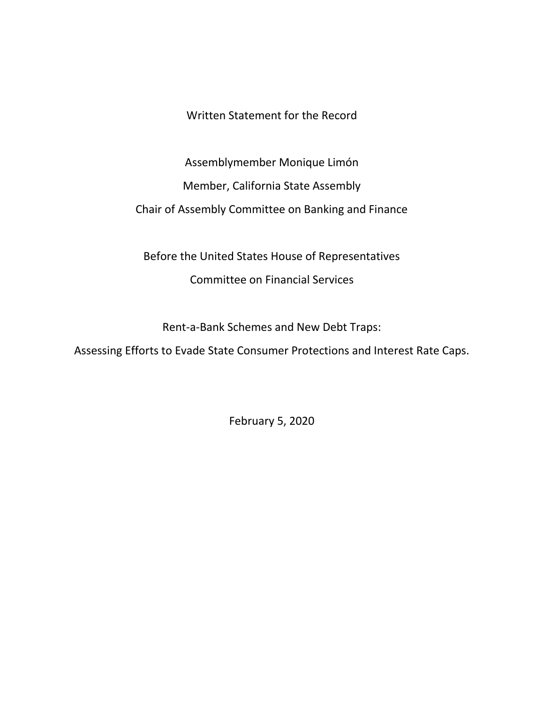Written Statement for the Record

Assemblymember Monique Limón Member, California State Assembly Chair of Assembly Committee on Banking and Finance

Before the United States House of Representatives Committee on Financial Services

Rent-a-Bank Schemes and New Debt Traps:

Assessing Efforts to Evade State Consumer Protections and Interest Rate Caps.

February 5, 2020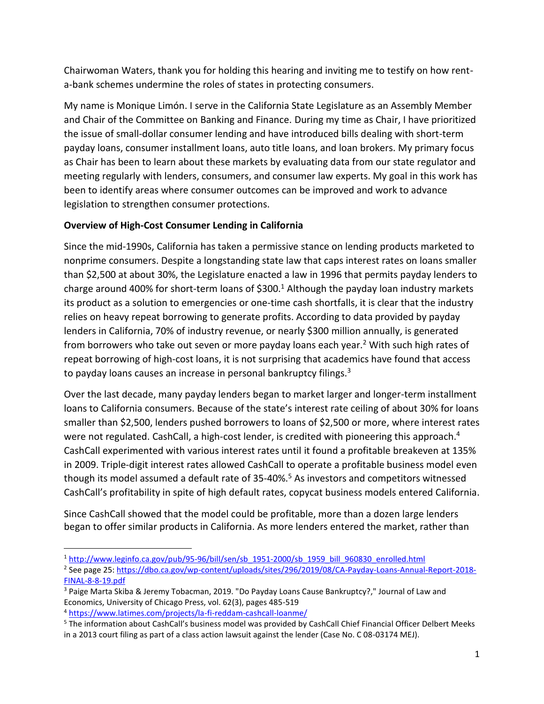Chairwoman Waters, thank you for holding this hearing and inviting me to testify on how renta-bank schemes undermine the roles of states in protecting consumers.

My name is Monique Limón. I serve in the California State Legislature as an Assembly Member and Chair of the Committee on Banking and Finance. During my time as Chair, I have prioritized the issue of small-dollar consumer lending and have introduced bills dealing with short-term payday loans, consumer installment loans, auto title loans, and loan brokers. My primary focus as Chair has been to learn about these markets by evaluating data from our state regulator and meeting regularly with lenders, consumers, and consumer law experts. My goal in this work has been to identify areas where consumer outcomes can be improved and work to advance legislation to strengthen consumer protections.

# **Overview of High-Cost Consumer Lending in California**

Since the mid-1990s, California has taken a permissive stance on lending products marketed to nonprime consumers. Despite a longstanding state law that caps interest rates on loans smaller than \$2,500 at about 30%, the Legislature enacted a law in 1996 that permits payday lenders to charge around 400% for short-term loans of  $$300.<sup>1</sup>$  Although the payday loan industry markets its product as a solution to emergencies or one-time cash shortfalls, it is clear that the industry relies on heavy repeat borrowing to generate profits. According to data provided by payday lenders in California, 70% of industry revenue, or nearly \$300 million annually, is generated from borrowers who take out seven or more payday loans each year.<sup>2</sup> With such high rates of repeat borrowing of high-cost loans, it is not surprising that academics have found that access to payday loans causes an increase in personal bankruptcy filings.<sup>3</sup>

Over the last decade, many payday lenders began to market larger and longer-term installment loans to California consumers. Because of the state's interest rate ceiling of about 30% for loans smaller than \$2,500, lenders pushed borrowers to loans of \$2,500 or more, where interest rates were not regulated. CashCall, a high-cost lender, is credited with pioneering this approach.<sup>4</sup> CashCall experimented with various interest rates until it found a profitable breakeven at 135% in 2009. Triple-digit interest rates allowed CashCall to operate a profitable business model even though its model assumed a default rate of 35-40%.<sup>5</sup> As investors and competitors witnessed CashCall's profitability in spite of high default rates, copycat business models entered California.

Since CashCall showed that the model could be profitable, more than a dozen large lenders began to offer similar products in California. As more lenders entered the market, rather than

 $\overline{a}$ 

<sup>1</sup> [http://www.leginfo.ca.gov/pub/95-96/bill/sen/sb\\_1951-2000/sb\\_1959\\_bill\\_960830\\_enrolled.html](http://www.leginfo.ca.gov/pub/95-96/bill/sen/sb_1951-2000/sb_1959_bill_960830_enrolled.html)

<sup>&</sup>lt;sup>2</sup> See page 25[: https://dbo.ca.gov/wp-content/uploads/sites/296/2019/08/CA-Payday-Loans-Annual-Report-2018-](https://dbo.ca.gov/wp-content/uploads/sites/296/2019/08/CA-Payday-Loans-Annual-Report-2018-FINAL-8-8-19.pdf) [FINAL-8-8-19.pdf](https://dbo.ca.gov/wp-content/uploads/sites/296/2019/08/CA-Payday-Loans-Annual-Report-2018-FINAL-8-8-19.pdf)

<sup>3</sup> Paige Marta Skiba & Jeremy Tobacman, 2019. "Do Payday Loans Cause Bankruptcy?," Journal of Law and Economics, University of Chicago Press, vol. 62(3), pages 485-519

<sup>4</sup> <https://www.latimes.com/projects/la-fi-reddam-cashcall-loanme/>

<sup>5</sup> The information about CashCall's business model was provided by CashCall Chief Financial Officer Delbert Meeks in a 2013 court filing as part of a class action lawsuit against the lender (Case No. C 08-03174 MEJ).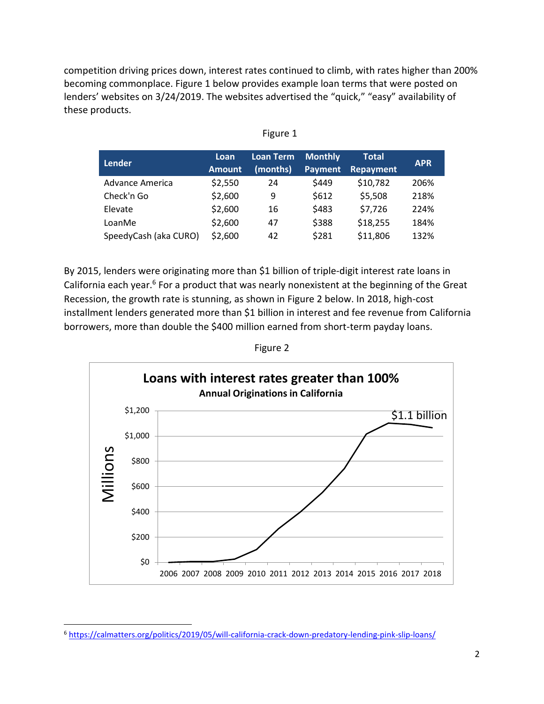competition driving prices down, interest rates continued to climb, with rates higher than 200% becoming commonplace. Figure 1 below provides example loan terms that were posted on lenders' websites on 3/24/2019. The websites advertised the "quick," "easy" availability of these products.

| <b>Lender</b>         | Loan<br><b>Amount</b> | <b>Loan Term</b><br>(months) | <b>Monthly</b><br><b>Payment</b> | <b>Total</b><br>Repayment | <b>APR</b> |
|-----------------------|-----------------------|------------------------------|----------------------------------|---------------------------|------------|
| Advance America       | \$2,550               | 24                           | \$449                            | \$10,782                  | 206%       |
| Check'n Go            | \$2,600               | 9                            | \$612                            | \$5,508                   | 218%       |
| Elevate               | \$2,600               | 16                           | \$483                            | \$7,726                   | 224%       |
| LoanMe                | \$2,600               | 47                           | \$388                            | \$18,255                  | 184%       |
| SpeedyCash (aka CURO) | \$2,600               | 42                           | \$281                            | \$11,806                  | 132%       |

By 2015, lenders were originating more than \$1 billion of triple-digit interest rate loans in California each year. $6$  For a product that was nearly nonexistent at the beginning of the Great Recession, the growth rate is stunning, as shown in Figure 2 below. In 2018, high-cost installment lenders generated more than \$1 billion in interest and fee revenue from California borrowers, more than double the \$400 million earned from short-term payday loans.

Figure 2



<sup>6</sup> <https://calmatters.org/politics/2019/05/will-california-crack-down-predatory-lending-pink-slip-loans/>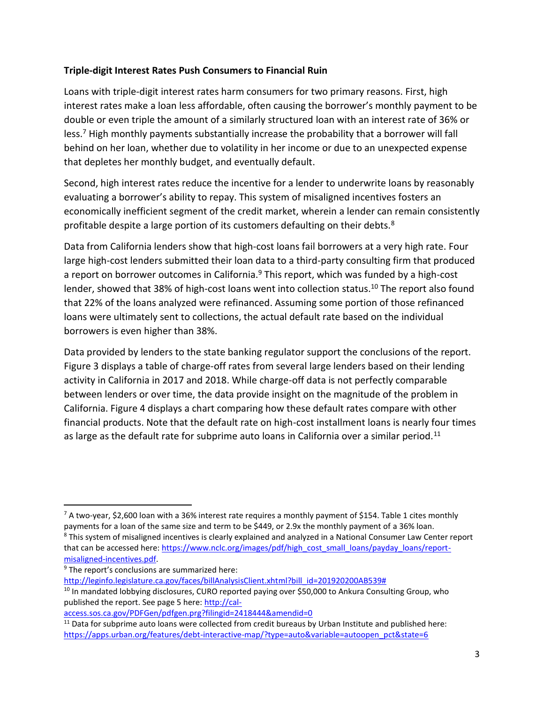#### **Triple-digit Interest Rates Push Consumers to Financial Ruin**

Loans with triple-digit interest rates harm consumers for two primary reasons. First, high interest rates make a loan less affordable, often causing the borrower's monthly payment to be double or even triple the amount of a similarly structured loan with an interest rate of 36% or  $less$ <sup>7</sup> High monthly payments substantially increase the probability that a borrower will fall behind on her loan, whether due to volatility in her income or due to an unexpected expense that depletes her monthly budget, and eventually default.

Second, high interest rates reduce the incentive for a lender to underwrite loans by reasonably evaluating a borrower's ability to repay. This system of misaligned incentives fosters an economically inefficient segment of the credit market, wherein a lender can remain consistently profitable despite a large portion of its customers defaulting on their debts.<sup>8</sup>

Data from California lenders show that high-cost loans fail borrowers at a very high rate. Four large high-cost lenders submitted their loan data to a third-party consulting firm that produced a report on borrower outcomes in California.<sup>9</sup> This report, which was funded by a high-cost lender, showed that 38% of high-cost loans went into collection status.<sup>10</sup> The report also found that 22% of the loans analyzed were refinanced. Assuming some portion of those refinanced loans were ultimately sent to collections, the actual default rate based on the individual borrowers is even higher than 38%.

Data provided by lenders to the state banking regulator support the conclusions of the report. Figure 3 displays a table of charge-off rates from several large lenders based on their lending activity in California in 2017 and 2018. While charge-off data is not perfectly comparable between lenders or over time, the data provide insight on the magnitude of the problem in California. Figure 4 displays a chart comparing how these default rates compare with other financial products. Note that the default rate on high-cost installment loans is nearly four times as large as the default rate for subprime auto loans in California over a similar period.<sup>11</sup>

 $\overline{\phantom{a}}$ 

[http://leginfo.legislature.ca.gov/faces/billAnalysisClient.xhtml?bill\\_id=201920200AB539#](http://leginfo.legislature.ca.gov/faces/billAnalysisClient.xhtml?bill_id=201920200AB539)

 $7$  A two-year, \$2,600 loan with a 36% interest rate requires a monthly payment of \$154. Table 1 cites monthly payments for a loan of the same size and term to be \$449, or 2.9x the monthly payment of a 36% loan. <sup>8</sup> This system of misaligned incentives is clearly explained and analyzed in a National Consumer Law Center report

that can be accessed here: [https://www.nclc.org/images/pdf/high\\_cost\\_small\\_loans/payday\\_loans/report](https://www.nclc.org/images/pdf/high_cost_small_loans/payday_loans/report-misaligned-incentives.pdf)[misaligned-incentives.pdf.](https://www.nclc.org/images/pdf/high_cost_small_loans/payday_loans/report-misaligned-incentives.pdf)

<sup>&</sup>lt;sup>9</sup> The report's conclusions are summarized here:

<sup>&</sup>lt;sup>10</sup> In mandated lobbying disclosures, CURO reported paying over \$50,000 to Ankura Consulting Group, who published the report. See page 5 here: [http://cal-](http://cal-access.sos.ca.gov/PDFGen/pdfgen.prg?filingid=2418444&amendid=0)

[access.sos.ca.gov/PDFGen/pdfgen.prg?filingid=2418444&amendid=0](http://cal-access.sos.ca.gov/PDFGen/pdfgen.prg?filingid=2418444&amendid=0)

 $11$  Data for subprime auto loans were collected from credit bureaus by Urban Institute and published here: [https://apps.urban.org/features/debt-interactive-map/?type=auto&variable=autoopen\\_pct&state=6](https://apps.urban.org/features/debt-interactive-map/?type=auto&variable=autoopen_pct&state=6)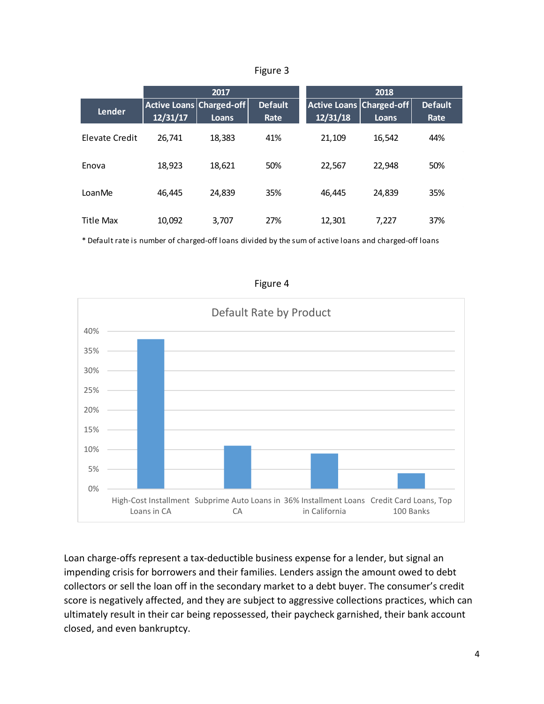|                | 2017                                        |        |                        | 2018                                        |        |                        |
|----------------|---------------------------------------------|--------|------------------------|---------------------------------------------|--------|------------------------|
| Lender         | <b>Active Loans Charged-off</b><br>12/31/17 | Loans  | <b>Default</b><br>Rate | <b>Active Loans Charged-off</b><br>12/31/18 | Loans  | <b>Default</b><br>Rate |
| Elevate Credit | 26.741                                      | 18,383 | 41%                    | 21,109                                      | 16,542 | 44%                    |
| Enova          | 18,923                                      | 18,621 | 50%                    | 22,567                                      | 22,948 | 50%                    |
| LoanMe         | 46,445                                      | 24.839 | 35%                    | 46,445                                      | 24,839 | 35%                    |
| Title Max      | 10,092                                      | 3,707  | 27%                    | 12,301                                      | 7.227  | 37%                    |

Figure 3

\* Default rate is number of charged-off loans divided by the sum of active loans and charged-off loans



Figure 4

Loan charge-offs represent a tax-deductible business expense for a lender, but signal an impending crisis for borrowers and their families. Lenders assign the amount owed to debt collectors or sell the loan off in the secondary market to a debt buyer. The consumer's credit score is negatively affected, and they are subject to aggressive collections practices, which can ultimately result in their car being repossessed, their paycheck garnished, their bank account closed, and even bankruptcy.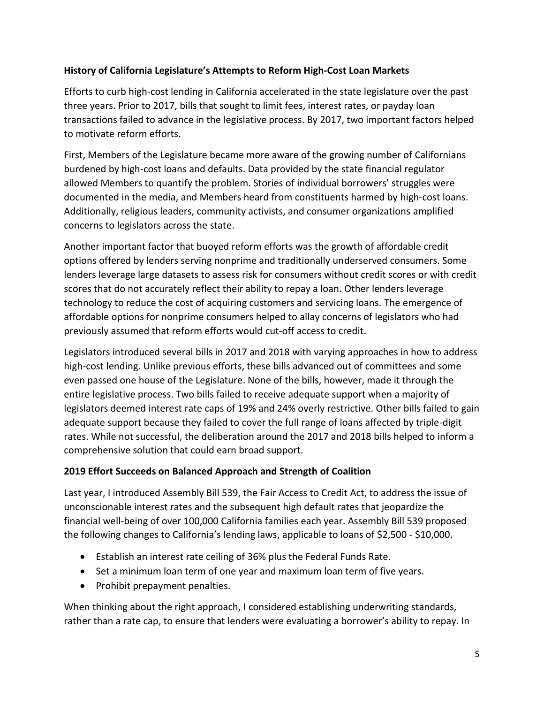# **History of California Legislature's Attempts to Reform High-Cost Loan Markets**

Efforts to curb high-cost lending in California accelerated in the state legislature over the past three years. Prior to 2017, bills that sought to limit fees, interest rates, or payday loan transactions failed to advance in the legislative process. By 2017, two important factors helped to motivate reform efforts.

First, Members of the Legislature became more aware of the growing number of Californians burdened by high-cost loans and defaults. Data provided by the state financial regulator allowed Members to quantify the problem. Stories of individual borrowers' struggles were documented in the media, and Members heard from constituents harmed by high-cost loans. Additionally, religious leaders, community activists, and consumer organizations amplified concerns to legislators across the state.

Another important factor that buoyed reform efforts was the growth of affordable credit options offered by lenders serving nonprime and traditionally underserved consumers. Some lenders leverage large datasets to assess risk for consumers without credit scores or with credit scores that do not accurately reflect their ability to repay a loan. Other lenders leverage technology to reduce the cost of acquiring customers and servicing loans. The emergence of affordable options for nonprime consumers helped to allay concerns of legislators who had previously assumed that reform efforts would cut-off access to credit.

Legislators introduced several bills in 2017 and 2018 with varying approaches in how to address high-cost lending. Unlike previous efforts, these bills advanced out of committees and some even passed one house of the Legislature. None of the bills, however, made it through the entire legislative process. Two bills failed to receive adequate support when a majority of legislators deemed interest rate caps of 19% and 24% overly restrictive. Other bills failed to gain adequate support because they failed to cover the full range of loans affected by triple-digit rates. While not successful, the deliberation around the 2017 and 2018 bills helped to inform a comprehensive solution that could earn broad support.

### **2019 Effort Succeeds on Balanced Approach and Strength of Coalition**

Last year, I introduced Assembly Bill 539, the Fair Access to Credit Act, to address the issue of unconscionable interest rates and the subsequent high default rates that jeopardize the financial well-being of over 100,000 California families each year. Assembly Bill 539 proposed the following changes to California's lending laws, applicable to loans of \$2,500 - \$10,000.

- Establish an interest rate ceiling of 36% plus the Federal Funds Rate.
- Set a minimum loan term of one year and maximum loan term of five years.
- Prohibit prepayment penalties.

When thinking about the right approach, I considered establishing underwriting standards, rather than a rate cap, to ensure that lenders were evaluating a borrower's ability to repay. In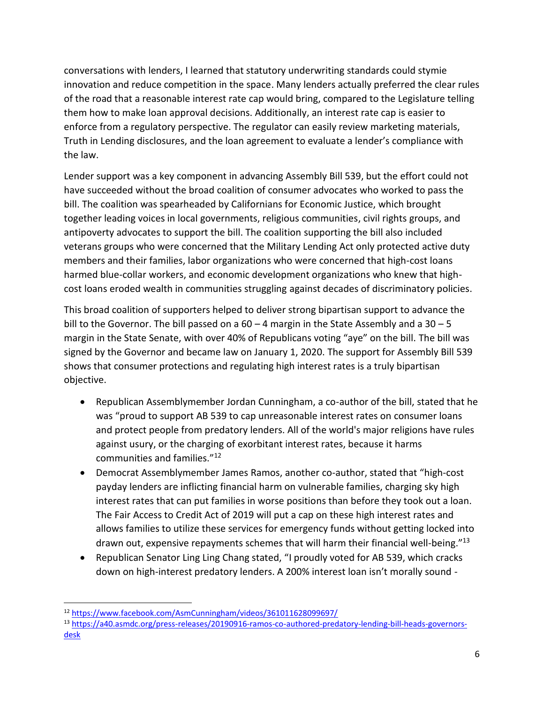conversations with lenders, I learned that statutory underwriting standards could stymie innovation and reduce competition in the space. Many lenders actually preferred the clear rules of the road that a reasonable interest rate cap would bring, compared to the Legislature telling them how to make loan approval decisions. Additionally, an interest rate cap is easier to enforce from a regulatory perspective. The regulator can easily review marketing materials, Truth in Lending disclosures, and the loan agreement to evaluate a lender's compliance with the law.

Lender support was a key component in advancing Assembly Bill 539, but the effort could not have succeeded without the broad coalition of consumer advocates who worked to pass the bill. The coalition was spearheaded by Californians for Economic Justice, which brought together leading voices in local governments, religious communities, civil rights groups, and antipoverty advocates to support the bill. The coalition supporting the bill also included veterans groups who were concerned that the Military Lending Act only protected active duty members and their families, labor organizations who were concerned that high-cost loans harmed blue-collar workers, and economic development organizations who knew that highcost loans eroded wealth in communities struggling against decades of discriminatory policies.

This broad coalition of supporters helped to deliver strong bipartisan support to advance the bill to the Governor. The bill passed on a  $60 - 4$  margin in the State Assembly and a  $30 - 5$ margin in the State Senate, with over 40% of Republicans voting "aye" on the bill. The bill was signed by the Governor and became law on January 1, 2020. The support for Assembly Bill 539 shows that consumer protections and regulating high interest rates is a truly bipartisan objective.

- Republican Assemblymember Jordan Cunningham, a co-author of the bill, stated that he was "proud to support AB 539 to cap unreasonable interest rates on consumer loans and protect people from predatory lenders. All of the world's major religions have rules against usury, or the charging of exorbitant interest rates, because it harms communities and families."<sup>12</sup>
- Democrat Assemblymember James Ramos, another co-author, stated that "high-cost payday lenders are inflicting financial harm on vulnerable families, charging sky high interest rates that can put families in worse positions than before they took out a loan. The Fair Access to Credit Act of 2019 will put a cap on these high interest rates and allows families to utilize these services for emergency funds without getting locked into drawn out, expensive repayments schemes that will harm their financial well-being."<sup>13</sup>
- Republican Senator Ling Ling Chang stated, "I proudly voted for AB 539, which cracks down on high-interest predatory lenders. A 200% interest loan isn't morally sound -

 $\overline{a}$ 

<sup>12</sup> <https://www.facebook.com/AsmCunningham/videos/361011628099697/>

<sup>13</sup> [https://a40.asmdc.org/press-releases/20190916-ramos-co-authored-predatory-lending-bill-heads-governors](https://a40.asmdc.org/press-releases/20190916-ramos-co-authored-predatory-lending-bill-heads-governors-desk)[desk](https://a40.asmdc.org/press-releases/20190916-ramos-co-authored-predatory-lending-bill-heads-governors-desk)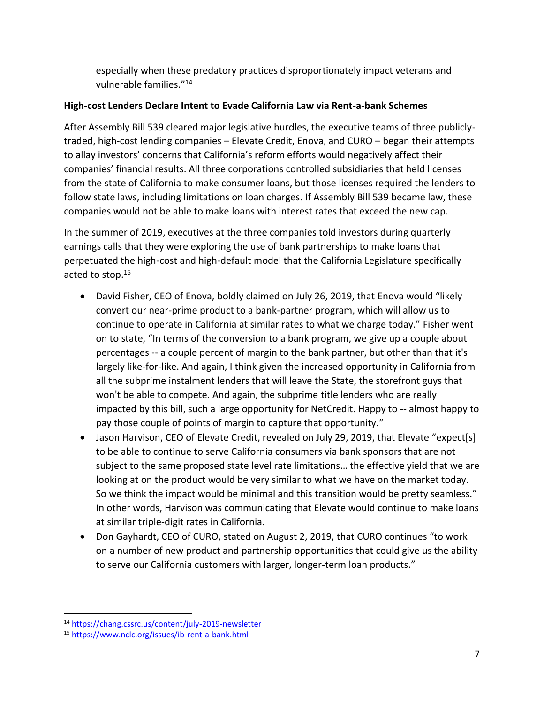especially when these predatory practices disproportionately impact veterans and vulnerable families."<sup>14</sup>

# **High-cost Lenders Declare Intent to Evade California Law via Rent-a-bank Schemes**

After Assembly Bill 539 cleared major legislative hurdles, the executive teams of three publiclytraded, high-cost lending companies – Elevate Credit, Enova, and CURO – began their attempts to allay investors' concerns that California's reform efforts would negatively affect their companies' financial results. All three corporations controlled subsidiaries that held licenses from the state of California to make consumer loans, but those licenses required the lenders to follow state laws, including limitations on loan charges. If Assembly Bill 539 became law, these companies would not be able to make loans with interest rates that exceed the new cap.

In the summer of 2019, executives at the three companies told investors during quarterly earnings calls that they were exploring the use of bank partnerships to make loans that perpetuated the high-cost and high-default model that the California Legislature specifically acted to stop.<sup>15</sup>

- David Fisher, CEO of Enova, boldly claimed on July 26, 2019, that Enova would "likely convert our near-prime product to a bank-partner program, which will allow us to continue to operate in California at similar rates to what we charge today." Fisher went on to state, "In terms of the conversion to a bank program, we give up a couple about percentages -- a couple percent of margin to the bank partner, but other than that it's largely like-for-like. And again, I think given the increased opportunity in California from all the subprime instalment lenders that will leave the State, the storefront guys that won't be able to compete. And again, the subprime title lenders who are really impacted by this bill, such a large opportunity for NetCredit. Happy to -- almost happy to pay those couple of points of margin to capture that opportunity."
- Jason Harvison, CEO of Elevate Credit, revealed on July 29, 2019, that Elevate "expect[s] to be able to continue to serve California consumers via bank sponsors that are not subject to the same proposed state level rate limitations… the effective yield that we are looking at on the product would be very similar to what we have on the market today. So we think the impact would be minimal and this transition would be pretty seamless." In other words, Harvison was communicating that Elevate would continue to make loans at similar triple-digit rates in California.
- Don Gayhardt, CEO of CURO, stated on August 2, 2019, that CURO continues "to work on a number of new product and partnership opportunities that could give us the ability to serve our California customers with larger, longer-term loan products."

 $\overline{\phantom{a}}$ <sup>14</sup> <https://chang.cssrc.us/content/july-2019-newsletter>

<sup>15</sup> <https://www.nclc.org/issues/ib-rent-a-bank.html>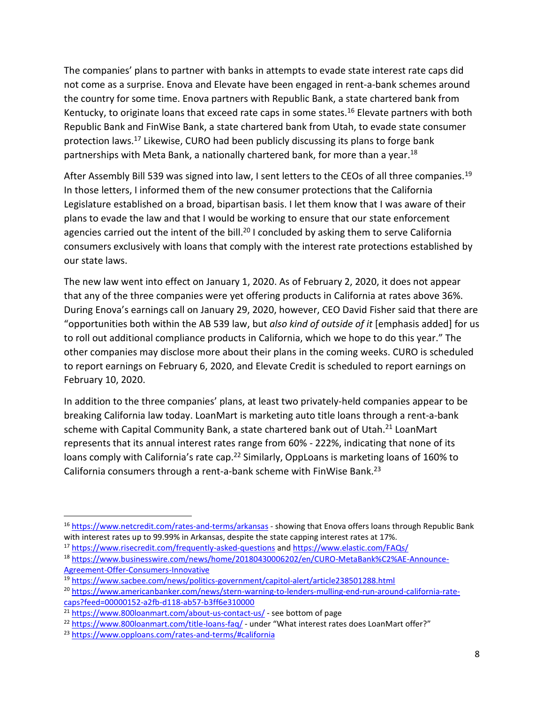The companies' plans to partner with banks in attempts to evade state interest rate caps did not come as a surprise. Enova and Elevate have been engaged in rent-a-bank schemes around the country for some time. Enova partners with Republic Bank, a state chartered bank from Kentucky, to originate loans that exceed rate caps in some states.<sup>16</sup> Elevate partners with both Republic Bank and FinWise Bank, a state chartered bank from Utah, to evade state consumer protection laws.<sup>17</sup> Likewise, CURO had been publicly discussing its plans to forge bank partnerships with Meta Bank, a nationally chartered bank, for more than a year.<sup>18</sup>

After Assembly Bill 539 was signed into law, I sent letters to the CEOs of all three companies.<sup>19</sup> In those letters, I informed them of the new consumer protections that the California Legislature established on a broad, bipartisan basis. I let them know that I was aware of their plans to evade the law and that I would be working to ensure that our state enforcement agencies carried out the intent of the bill.<sup>20</sup> I concluded by asking them to serve California consumers exclusively with loans that comply with the interest rate protections established by our state laws.

The new law went into effect on January 1, 2020. As of February 2, 2020, it does not appear that any of the three companies were yet offering products in California at rates above 36%. During Enova's earnings call on January 29, 2020, however, CEO David Fisher said that there are "opportunities both within the AB 539 law, but *also kind of outside of it* [emphasis added] for us to roll out additional compliance products in California, which we hope to do this year." The other companies may disclose more about their plans in the coming weeks. CURO is scheduled to report earnings on February 6, 2020, and Elevate Credit is scheduled to report earnings on February 10, 2020.

In addition to the three companies' plans, at least two privately-held companies appear to be breaking California law today. LoanMart is marketing auto title loans through a rent-a-bank scheme with Capital Community Bank, a state chartered bank out of Utah.<sup>21</sup> LoanMart represents that its annual interest rates range from 60% - 222%, indicating that none of its loans comply with California's rate cap.<sup>22</sup> Similarly, OppLoans is marketing loans of 160% to California consumers through a rent-a-bank scheme with FinWise Bank.<sup>23</sup>

<sup>17</sup> <https://www.risecredit.com/frequently-asked-questions> and<https://www.elastic.com/FAQs/>

<sup>16</sup> <https://www.netcredit.com/rates-and-terms/arkansas> - showing that Enova offers loans through Republic Bank with interest rates up to 99.99% in Arkansas, despite the state capping interest rates at 17%.

<sup>18</sup> [https://www.businesswire.com/news/home/20180430006202/en/CURO-MetaBank%C2%AE-Announce-](https://www.businesswire.com/news/home/20180430006202/en/CURO-MetaBank%C2%AE-Announce-Agreement-Offer-Consumers-Innovative)[Agreement-Offer-Consumers-Innovative](https://www.businesswire.com/news/home/20180430006202/en/CURO-MetaBank%C2%AE-Announce-Agreement-Offer-Consumers-Innovative)

<sup>19</sup> <https://www.sacbee.com/news/politics-government/capitol-alert/article238501288.html>

<sup>20</sup> [https://www.americanbanker.com/news/stern-warning-to-lenders-mulling-end-run-around-california-rate](https://www.americanbanker.com/news/stern-warning-to-lenders-mulling-end-run-around-california-rate-caps?feed=00000152-a2fb-d118-ab57-b3ff6e310000)[caps?feed=00000152-a2fb-d118-ab57-b3ff6e310000](https://www.americanbanker.com/news/stern-warning-to-lenders-mulling-end-run-around-california-rate-caps?feed=00000152-a2fb-d118-ab57-b3ff6e310000)

<sup>21</sup> <https://www.800loanmart.com/about-us-contact-us/> - see bottom of page

<sup>22</sup> <https://www.800loanmart.com/title-loans-faq/> - under "What interest rates does LoanMart offer?"

<sup>23</sup> <https://www.opploans.com/rates-and-terms/#california>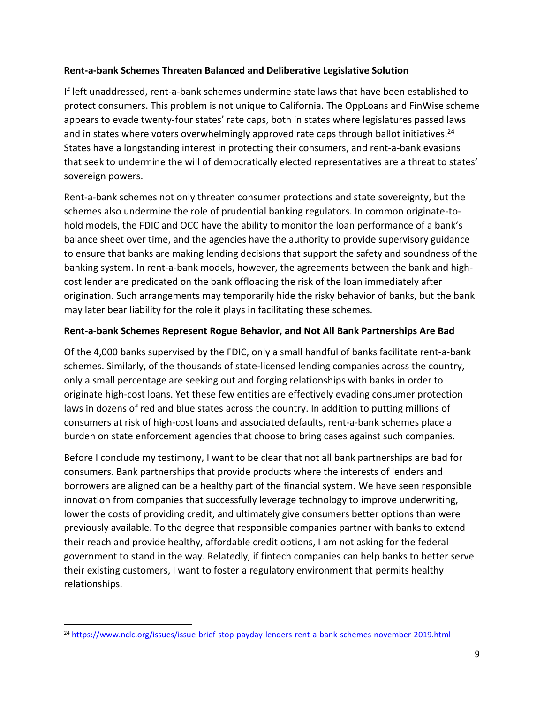#### **Rent-a-bank Schemes Threaten Balanced and Deliberative Legislative Solution**

If left unaddressed, rent-a-bank schemes undermine state laws that have been established to protect consumers. This problem is not unique to California. The OppLoans and FinWise scheme appears to evade twenty-four states' rate caps, both in states where legislatures passed laws and in states where voters overwhelmingly approved rate caps through ballot initiatives.<sup>24</sup> States have a longstanding interest in protecting their consumers, and rent-a-bank evasions that seek to undermine the will of democratically elected representatives are a threat to states' sovereign powers.

Rent-a-bank schemes not only threaten consumer protections and state sovereignty, but the schemes also undermine the role of prudential banking regulators. In common originate-tohold models, the FDIC and OCC have the ability to monitor the loan performance of a bank's balance sheet over time, and the agencies have the authority to provide supervisory guidance to ensure that banks are making lending decisions that support the safety and soundness of the banking system. In rent-a-bank models, however, the agreements between the bank and highcost lender are predicated on the bank offloading the risk of the loan immediately after origination. Such arrangements may temporarily hide the risky behavior of banks, but the bank may later bear liability for the role it plays in facilitating these schemes.

### **Rent-a-bank Schemes Represent Rogue Behavior, and Not All Bank Partnerships Are Bad**

Of the 4,000 banks supervised by the FDIC, only a small handful of banks facilitate rent-a-bank schemes. Similarly, of the thousands of state-licensed lending companies across the country, only a small percentage are seeking out and forging relationships with banks in order to originate high-cost loans. Yet these few entities are effectively evading consumer protection laws in dozens of red and blue states across the country. In addition to putting millions of consumers at risk of high-cost loans and associated defaults, rent-a-bank schemes place a burden on state enforcement agencies that choose to bring cases against such companies.

Before I conclude my testimony, I want to be clear that not all bank partnerships are bad for consumers. Bank partnerships that provide products where the interests of lenders and borrowers are aligned can be a healthy part of the financial system. We have seen responsible innovation from companies that successfully leverage technology to improve underwriting, lower the costs of providing credit, and ultimately give consumers better options than were previously available. To the degree that responsible companies partner with banks to extend their reach and provide healthy, affordable credit options, I am not asking for the federal government to stand in the way. Relatedly, if fintech companies can help banks to better serve their existing customers, I want to foster a regulatory environment that permits healthy relationships.

<sup>24</sup> <https://www.nclc.org/issues/issue-brief-stop-payday-lenders-rent-a-bank-schemes-november-2019.html>